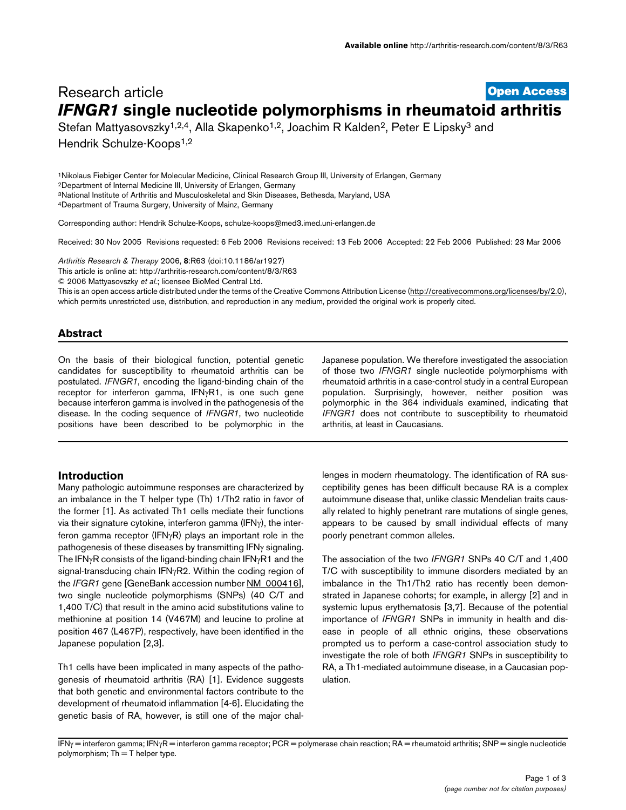# **[Open Access](http://www.biomedcentral.com/info/about/charter/)** Research article *IFNGR1* **single nucleotide polymorphisms in rheumatoid arthritis**

Stefan Mattyasovszky<sup>1,2,4</sup>, Alla Skapenko<sup>1,2</sup>, Joachim R Kalden<sup>2</sup>, Peter E Lipsky<sup>3</sup> and

Hendrik Schulze-Koops<sup>1,2</sup>

1Nikolaus Fiebiger Center for Molecular Medicine, Clinical Research Group III, University of Erlangen, Germany 2Department of Internal Medicine III, University of Erlangen, Germany 3National Institute of Arthritis and Musculoskeletal and Skin Diseases, Bethesda, Maryland, USA 4Department of Trauma Surgery, University of Mainz, Germany

Corresponding author: Hendrik Schulze-Koops, schulze-koops@med3.imed.uni-erlangen.de

Received: 30 Nov 2005 Revisions requested: 6 Feb 2006 Revisions received: 13 Feb 2006 Accepted: 22 Feb 2006 Published: 23 Mar 2006

*Arthritis Research & Therapy* 2006, **8**:R63 (doi:10.1186/ar1927)

[This article is online at: http://arthritis-research.com/content/8/3/R63](http://arthritis-research.com/content/8/3/R63)

© 2006 Mattyasovszky *et al*.; licensee BioMed Central Ltd.

This is an open access article distributed under the terms of the Creative Commons Attribution License [\(http://creativecommons.org/licenses/by/2.0\)](http://creativecommons.org/licenses/by/2.0), which permits unrestricted use, distribution, and reproduction in any medium, provided the original work is properly cited.

### **Abstract**

On the basis of their biological function, potential genetic candidates for susceptibility to rheumatoid arthritis can be postulated. *IFNGR1*, encoding the ligand-binding chain of the receptor for interferon gamma, IFNγR1, is one such gene because interferon gamma is involved in the pathogenesis of the disease. In the coding sequence of *IFNGR1*, two nucleotide positions have been described to be polymorphic in the

### **Introduction**

Many pathologic autoimmune responses are characterized by an imbalance in the T helper type (Th) 1/Th2 ratio in favor of the former [1]. As activated Th1 cells mediate their functions via their signature cytokine, interferon gamma (IFNγ), the interferon gamma receptor (IFNγR) plays an important role in the pathogenesis of these diseases by transmitting IFNγ signaling. The IFNγR consists of the ligand-binding chain IFNγR1 and the signal-transducing chain IFNγR2. Within the coding region of the *IFGR1* gene [GeneBank accession number [NM\\_000416](http://www.ncbi.nih.gov/entrez/query.fcgi?db=Nucleotide&cmd=search&term=NM_000416)], two single nucleotide polymorphisms (SNPs) (40 C/T and 1,400 T/C) that result in the amino acid substitutions valine to methionine at position 14 (V467M) and leucine to proline at position 467 (L467P), respectively, have been identified in the Japanese population [2,3].

Th1 cells have been implicated in many aspects of the pathogenesis of rheumatoid arthritis (RA) [1]. Evidence suggests that both genetic and environmental factors contribute to the development of rheumatoid inflammation [4-6]. Elucidating the genetic basis of RA, however, is still one of the major chalJapanese population. We therefore investigated the association of those two *IFNGR1* single nucleotide polymorphisms with rheumatoid arthritis in a case-control study in a central European population. Surprisingly, however, neither position was polymorphic in the 364 individuals examined, indicating that *IFNGR1* does not contribute to susceptibility to rheumatoid arthritis, at least in Caucasians.

lenges in modern rheumatology. The identification of RA susceptibility genes has been difficult because RA is a complex autoimmune disease that, unlike classic Mendelian traits causally related to highly penetrant rare mutations of single genes, appears to be caused by small individual effects of many poorly penetrant common alleles.

The association of the two *IFNGR1* SNPs 40 C/T and 1,400 T/C with susceptibility to immune disorders mediated by an imbalance in the Th1/Th2 ratio has recently been demonstrated in Japanese cohorts; for example, in allergy [2] and in systemic lupus erythematosis [3,7]. Because of the potential importance of *IFNGR1* SNPs in immunity in health and disease in people of all ethnic origins, these observations prompted us to perform a case-control association study to investigate the role of both *IFNGR1* SNPs in susceptibility to RA, a Th1-mediated autoimmune disease, in a Caucasian population.

IFNγ = interferon gamma; IFNγR = interferon gamma receptor; PCR = polymerase chain reaction; RA = rheumatoid arthritis; SNP = single nucleotide polymorphism;  $Th = T$  helper type.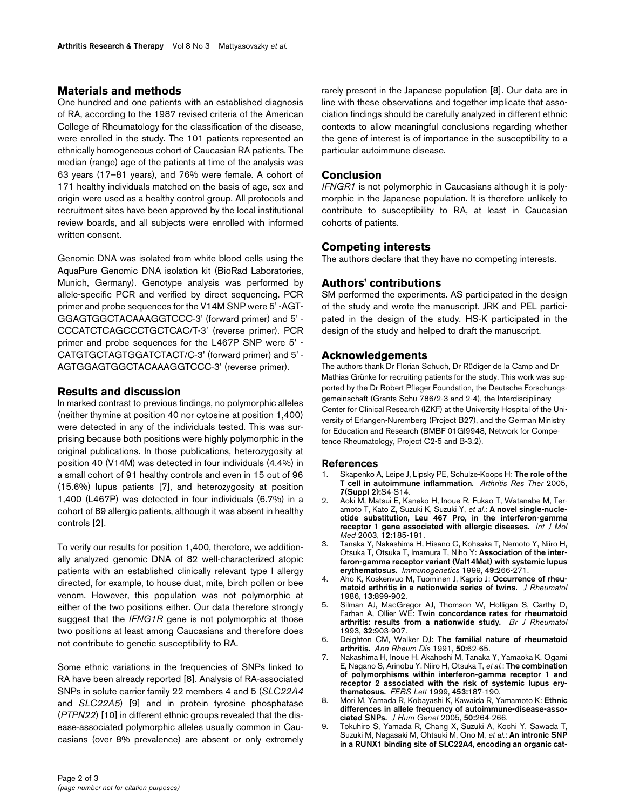## **Materials and methods**

One hundred and one patients with an established diagnosis of RA, according to the 1987 revised criteria of the American College of Rheumatology for the classification of the disease, were enrolled in the study. The 101 patients represented an ethnically homogeneous cohort of Caucasian RA patients. The median (range) age of the patients at time of the analysis was 63 years (17–81 years), and 76% were female. A cohort of 171 healthy individuals matched on the basis of age, sex and origin were used as a healthy control group. All protocols and recruitment sites have been approved by the local institutional review boards, and all subjects were enrolled with informed written consent.

Genomic DNA was isolated from white blood cells using the AquaPure Genomic DNA isolation kit (BioRad Laboratories, Munich, Germany). Genotype analysis was performed by allele-specific PCR and verified by direct sequencing. PCR primer and probe sequences for the V14M SNP were 5' -AGT-GGAGTGGCTACAAAGGTCCC-3' (forward primer) and 5' - CCCATCTCAGCCCTGCTCAC/T-3' (reverse primer). PCR primer and probe sequences for the L467P SNP were 5' - CATGTGCTAGTGGATCTACT/C-3' (forward primer) and 5' - AGTGGAGTGGCTACAAAGGTCCC-3' (reverse primer).

## **Results and discussion**

In marked contrast to previous findings, no polymorphic alleles (neither thymine at position 40 nor cytosine at position 1,400) were detected in any of the individuals tested. This was surprising because both positions were highly polymorphic in the original publications. In those publications, heterozygosity at position 40 (V14M) was detected in four individuals (4.4%) in a small cohort of 91 healthy controls and even in 15 out of 96 (15.6%) lupus patients [7], and heterozygosity at position 1,400 (L467P) was detected in four individuals (6.7%) in a cohort of 89 allergic patients, although it was absent in healthy controls [2].

To verify our results for position 1,400, therefore, we additionally analyzed genomic DNA of 82 well-characterized atopic patients with an established clinically relevant type I allergy directed, for example, to house dust, mite, birch pollen or bee venom. However, this population was not polymorphic at either of the two positions either. Our data therefore strongly suggest that the *IFNG1R* gene is not polymorphic at those two positions at least among Caucasians and therefore does not contribute to genetic susceptibility to RA.

Some ethnic variations in the frequencies of SNPs linked to RA have been already reported [8]. Analysis of RA-associated SNPs in solute carrier family 22 members 4 and 5 (*SLC22A4* and *SLC22A5*) [9] and in protein tyrosine phosphatase (*PTPN22*) [10] in different ethnic groups revealed that the disease-associated polymorphic alleles usually common in Caucasians (over 8% prevalence) are absent or only extremely rarely present in the Japanese population [8]. Our data are in line with these observations and together implicate that association findings should be carefully analyzed in different ethnic contexts to allow meaningful conclusions regarding whether the gene of interest is of importance in the susceptibility to a particular autoimmune disease.

## **Conclusion**

*IFNGR1* is not polymorphic in Caucasians although it is polymorphic in the Japanese population. It is therefore unlikely to contribute to susceptibility to RA, at least in Caucasian cohorts of patients.

# **Competing interests**

The authors declare that they have no competing interests.

# **Authors' contributions**

SM performed the experiments. AS participated in the design of the study and wrote the manuscript. JRK and PEL participated in the design of the study. HS-K participated in the design of the study and helped to draft the manuscript.

## **Acknowledgements**

The authors thank Dr Florian Schuch, Dr Rüdiger de la Camp and Dr Mathias Grünke for recruiting patients for the study. This work was supported by the Dr Robert Pfleger Foundation, the Deutsche Forschungsgemeinschaft (Grants Schu 786/2-3 and 2-4), the Interdisciplinary Center for Clinical Research (IZKF) at the University Hospital of the University of Erlangen-Nuremberg (Project B27), and the German Ministry for Education and Research (BMBF 01GI9948, Network for Competence Rheumatology, Project C2-5 and B-3.2).

### **References**

- 1. Skapenko A, Leipe J, Lipsky PE, Schulze-Koops H: **[The role of the](http://www.ncbi.nlm.nih.gov/entrez/query.fcgi?cmd=Retrieve&db=PubMed&dopt=Abstract&list_uids=15833146) [T cell in autoimmune inflammation.](http://www.ncbi.nlm.nih.gov/entrez/query.fcgi?cmd=Retrieve&db=PubMed&dopt=Abstract&list_uids=15833146)** *Arthritis Res Ther* 2005, **7(Suppl 2):**S4-S14.
- 2. Aoki M, Matsui E, Kaneko H, Inoue R, Fukao T, Watanabe M, Teramoto T, Kato Z, Suzuki K, Suzuki Y, *et al.*: **[A novel single-nucle](http://www.ncbi.nlm.nih.gov/entrez/query.fcgi?cmd=Retrieve&db=PubMed&dopt=Abstract&list_uids=12851715)[otide substitution, Leu 467 Pro, in the interferon-gamma](http://www.ncbi.nlm.nih.gov/entrez/query.fcgi?cmd=Retrieve&db=PubMed&dopt=Abstract&list_uids=12851715) [receptor 1 gene associated with allergic diseases.](http://www.ncbi.nlm.nih.gov/entrez/query.fcgi?cmd=Retrieve&db=PubMed&dopt=Abstract&list_uids=12851715)** *Int J Mol Med* 2003, **12:**185-191.
- 3. Tanaka Y, Nakashima H, Hisano C, Kohsaka T, Nemoto Y, Niiro H, Otsuka T, Otsuka T, Imamura T, Niho Y: **[Association of the inter](http://www.ncbi.nlm.nih.gov/entrez/query.fcgi?cmd=Retrieve&db=PubMed&dopt=Abstract&list_uids=10079289)[feron-gamma receptor variant \(Val14Met\) with systemic lupus](http://www.ncbi.nlm.nih.gov/entrez/query.fcgi?cmd=Retrieve&db=PubMed&dopt=Abstract&list_uids=10079289) [erythematosus.](http://www.ncbi.nlm.nih.gov/entrez/query.fcgi?cmd=Retrieve&db=PubMed&dopt=Abstract&list_uids=10079289)** *Immunogenetics* 1999, **49:**266-271.
- 4. Aho K, Koskenvuo M, Tuominen J, Kaprio J: **[Occurrence of rheu](http://www.ncbi.nlm.nih.gov/entrez/query.fcgi?cmd=Retrieve&db=PubMed&dopt=Abstract&list_uids=3820198)[matoid arthritis in a nationwide series of twins.](http://www.ncbi.nlm.nih.gov/entrez/query.fcgi?cmd=Retrieve&db=PubMed&dopt=Abstract&list_uids=3820198)** *J Rheumatol* 1986, **13:**899-902.
- 5. Silman AJ, MacGregor AJ, Thomson W, Holligan S, Carthy D, Farhan A, Ollier WE: **[Twin concordance rates for rheumatoid](http://www.ncbi.nlm.nih.gov/entrez/query.fcgi?cmd=Retrieve&db=PubMed&dopt=Abstract&list_uids=8402000) [arthritis: results from a nationwide study.](http://www.ncbi.nlm.nih.gov/entrez/query.fcgi?cmd=Retrieve&db=PubMed&dopt=Abstract&list_uids=8402000)** *Br J Rheumatol* 1993, **32:**903-907.
- 6. Deighton CM, Walker DJ: **[The familial nature of rheumatoid](http://www.ncbi.nlm.nih.gov/entrez/query.fcgi?cmd=Retrieve&db=PubMed&dopt=Abstract&list_uids=1994873) [arthritis.](http://www.ncbi.nlm.nih.gov/entrez/query.fcgi?cmd=Retrieve&db=PubMed&dopt=Abstract&list_uids=1994873)** *Ann Rheum Dis* 1991, **50:**62-65.
- 7. Nakashima H, Inoue H, Akahoshi M, Tanaka Y, Yamaoka K, Ogami E, Nagano S, Arinobu Y, Niiro H, Otsuka T, *et al.*: **[The combination](http://www.ncbi.nlm.nih.gov/entrez/query.fcgi?cmd=Retrieve&db=PubMed&dopt=Abstract&list_uids=10403400) of polymorphisms within interferon-gamma receptor 1 and [receptor 2 associated with the risk of systemic lupus ery](http://www.ncbi.nlm.nih.gov/entrez/query.fcgi?cmd=Retrieve&db=PubMed&dopt=Abstract&list_uids=10403400)[thematosus.](http://www.ncbi.nlm.nih.gov/entrez/query.fcgi?cmd=Retrieve&db=PubMed&dopt=Abstract&list_uids=10403400)** *FEBS Lett* 1999, **453:**187-190.
- 8. Mori M, Yamada R, Kobayashi K, Kawaida R, Yamamoto K: **[Ethnic](http://www.ncbi.nlm.nih.gov/entrez/query.fcgi?cmd=Retrieve&db=PubMed&dopt=Abstract&list_uids=15883854) [differences in allele frequency of autoimmune-disease-asso](http://www.ncbi.nlm.nih.gov/entrez/query.fcgi?cmd=Retrieve&db=PubMed&dopt=Abstract&list_uids=15883854)[ciated SNPs.](http://www.ncbi.nlm.nih.gov/entrez/query.fcgi?cmd=Retrieve&db=PubMed&dopt=Abstract&list_uids=15883854)** *J Hum Genet* 2005, **50:**264-266.
- 9. Tokuhiro S, Yamada R, Chang X, Suzuki A, Kochi Y, Sawada T, Suzuki M, Nagasaki M, Ohtsuki M, Ono M, *et al.*: **[An intronic SNP](http://www.ncbi.nlm.nih.gov/entrez/query.fcgi?cmd=Retrieve&db=PubMed&dopt=Abstract&list_uids=14608356) [in a RUNX1 binding site of SLC22A4, encoding an organic cat](http://www.ncbi.nlm.nih.gov/entrez/query.fcgi?cmd=Retrieve&db=PubMed&dopt=Abstract&list_uids=14608356)-**